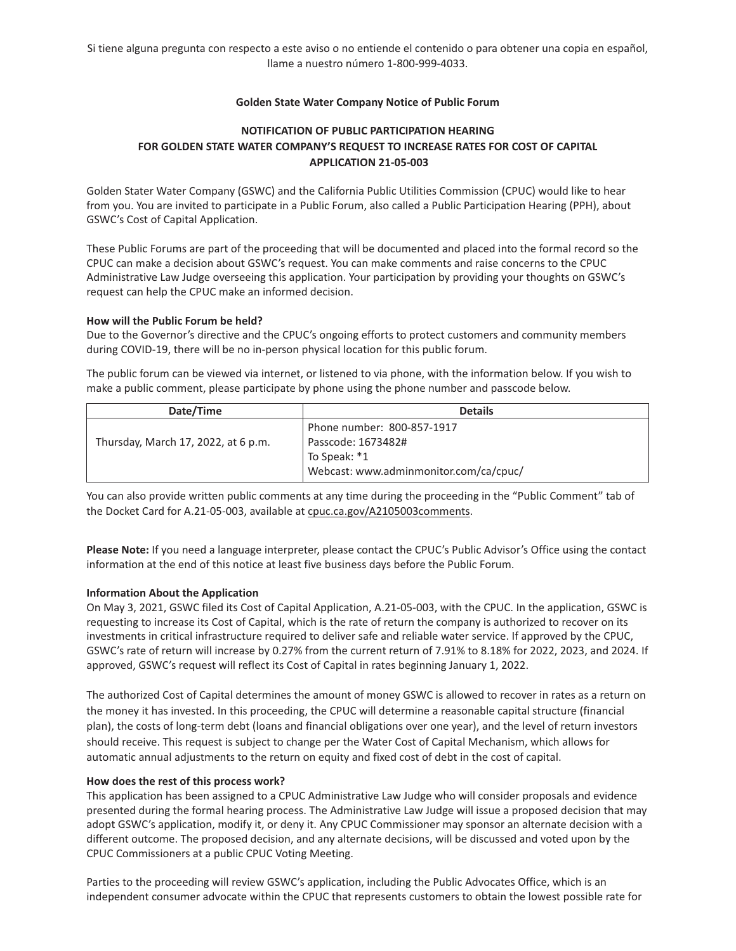## **Golden State Water Company Notice of Public Forum**

# **NOTIFICATION OF PUBLIC PARTICIPATION HEARING FOR GOLDEN STATE WATER COMPANY'S REQUEST TO INCREASE RATES FOR COST OF CAPITAL APPLICATION 21-05-003**

Golden Stater Water Company (GSWC) and the California Public Utilities Commission (CPUC) would like to hear from you. You are invited to participate in a Public Forum, also called a Public Participation Hearing (PPH), about GSWC's Cost of Capital Application.

These Public Forums are part of the proceeding that will be documented and placed into the formal record so the CPUC can make a decision about GSWC's request. You can make comments and raise concerns to the CPUC Administrative Law Judge overseeing this application. Your participation by providing your thoughts on GSWC's request can help the CPUC make an informed decision.

## **How will the Public Forum be held?**

Due to the Governor's directive and the CPUC's ongoing efforts to protect customers and community members during COVID-19, there will be no in-person physical location for this public forum.

The public forum can be viewed via internet, or listened to via phone, with the information below. If you wish to make a public comment, please participate by phone using the phone number and passcode below.

| Date/Time                           | <b>Details</b>                                                                                             |
|-------------------------------------|------------------------------------------------------------------------------------------------------------|
| Thursday, March 17, 2022, at 6 p.m. | Phone number: 800-857-1917<br>Passcode: 1673482#<br>To Speak: *1<br>Webcast: www.adminmonitor.com/ca/cpuc/ |

You can also provide written public comments at any time during the proceeding in the "Public Comment" tab of the Docket Card for A.21-05-003, available at cpuc.ca.gov/A2105003comments.

**Please Note:** If you need a language interpreter, please contact the CPUC's Public Advisor's Office using the contact information at the end of this notice at least five business days before the Public Forum.

## **Information About the Application**

On May 3, 2021, GSWC filed its Cost of Capital Application, A.21-05-003, with the CPUC. In the application, GSWC is requesting to increase its Cost of Capital, which is the rate of return the company is authorized to recover on its investments in critical infrastructure required to deliver safe and reliable water service. If approved by the CPUC, GSWC's rate of return will increase by 0.27% from the current return of 7.91% to 8.18% for 2022, 2023, and 2024. If approved, GSWC's request will reflect its Cost of Capital in rates beginning January 1, 2022.

The authorized Cost of Capital determines the amount of money GSWC is allowed to recover in rates as a return on the money it has invested. In this proceeding, the CPUC will determine a reasonable capital structure (financial plan), the costs of long-term debt (loans and financial obligations over one year), and the level of return investors should receive. This request is subject to change per the Water Cost of Capital Mechanism, which allows for automatic annual adjustments to the return on equity and fixed cost of debt in the cost of capital.

## **How does the rest of this process work?**

This application has been assigned to a CPUC Administrative Law Judge who will consider proposals and evidence presented during the formal hearing process. The Administrative Law Judge will issue a proposed decision that may adopt GSWC's application, modify it, or deny it. Any CPUC Commissioner may sponsor an alternate decision with a different outcome. The proposed decision, and any alternate decisions, will be discussed and voted upon by the CPUC Commissioners at a public CPUC Voting Meeting.

Parties to the proceeding will review GSWC's application, including the Public Advocates Office, which is an independent consumer advocate within the CPUC that represents customers to obtain the lowest possible rate for